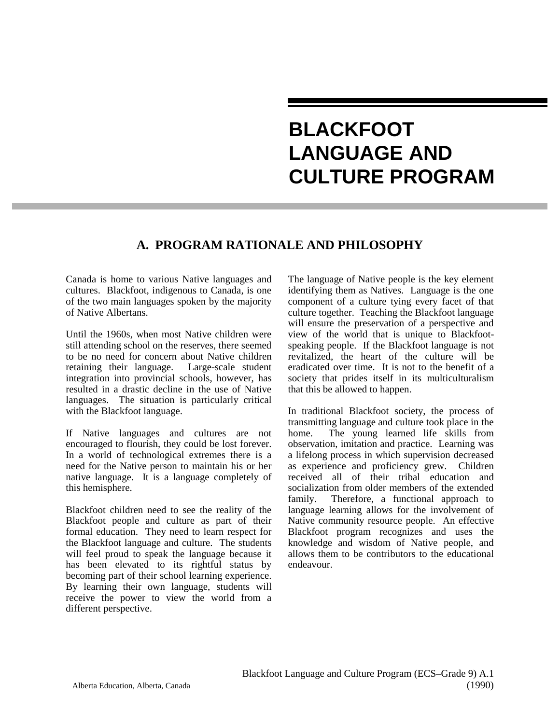# **BLACKFOOT LANGUAGE AND CULTURE PROGRAM**

# **A. PROGRAM RATIONALE AND PHILOSOPHY**

Canada is home to various Native languages and cultures. Blackfoot, indigenous to Canada, is one of the two main languages spoken by the majority of Native Albertans.

Until the 1960s, when most Native children were still attending school on the reserves, there seemed to be no need for concern about Native children<br>retaining their language. Large-scale student retaining their language. integration into provincial schools, however, has resulted in a drastic decline in the use of Native languages. The situation is particularly critical with the Blackfoot language.

If Native languages and cultures are not encouraged to flourish, they could be lost forever. In a world of technological extremes there is a need for the Native person to maintain his or her native language. It is a language completely of this hemisphere.

Blackfoot children need to see the reality of the Blackfoot people and culture as part of their formal education. They need to learn respect for the Blackfoot language and culture. The students will feel proud to speak the language because it has been elevated to its rightful status by becoming part of their school learning experience. By learning their own language, students will receive the power to view the world from a different perspective.

The language of Native people is the key element identifying them as Natives. Language is the one component of a culture tying every facet of that culture together. Teaching the Blackfoot language will ensure the preservation of a perspective and view of the world that is unique to Blackfootspeaking people. If the Blackfoot language is not revitalized, the heart of the culture will be eradicated over time. It is not to the benefit of a society that prides itself in its multiculturalism that this be allowed to happen.

In traditional Blackfoot society, the process of transmitting language and culture took place in the home. The young learned life skills from observation, imitation and practice. Learning was a lifelong process in which supervision decreased as experience and proficiency grew. Children received all of their tribal education and socialization from older members of the extended family. Therefore, a functional approach to language learning allows for the involvement of Native community resource people. An effective Blackfoot program recognizes and uses the knowledge and wisdom of Native people, and allows them to be contributors to the educational endeavour.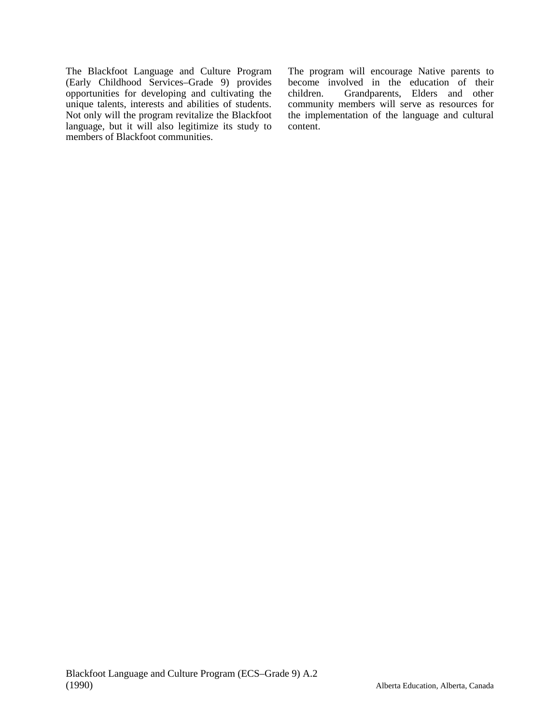The Blackfoot Language and Culture Program (Early Childhood Services–Grade 9) provides opportunities for developing and cultivating the unique talents, interests and abilities of students. Not only will the program revitalize the Blackfoot language, but it will also legitimize its study to members of Blackfoot communities.

The program will encourage Native parents to become involved in the education of their<br>children. Grandparents, Elders and other Grandparents, Elders and other community members will serve as resources for the implementation of the language and cultural content.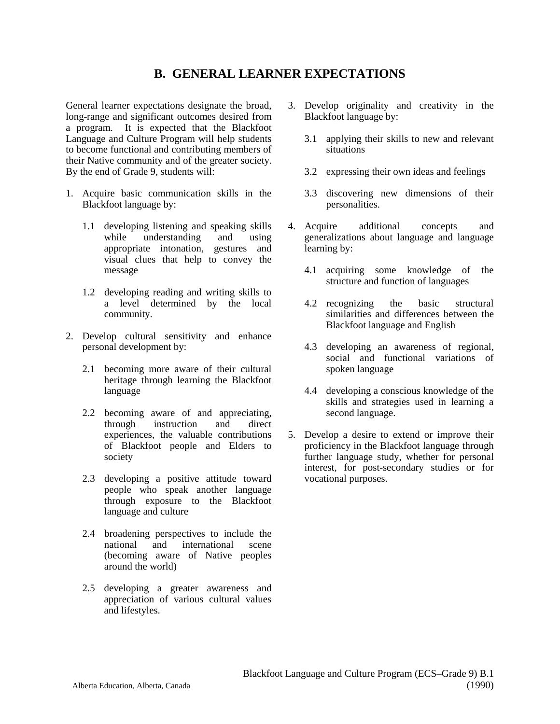## **B. GENERAL LEARNER EXPECTATIONS**

General learner expectations designate the broad, long-range and significant outcomes desired from a program. It is expected that the Blackfoot Language and Culture Program will help students to become functional and contributing members of their Native community and of the greater society. By the end of Grade 9, students will:

- 1. Acquire basic communication skills in the Blackfoot language by:
	- 1.1 developing listening and speaking skills while understanding and using appropriate intonation, gestures and visual clues that help to convey the message
	- 1.2 developing reading and writing skills to a level determined by the local community.
- 2. Develop cultural sensitivity and enhance personal development by:
	- 2.1 becoming more aware of their cultural heritage through learning the Blackfoot language
	- 2.2 becoming aware of and appreciating,<br>through instruction and direct instruction and direct experiences, the valuable contributions of Blackfoot people and Elders to society
	- 2.3 developing a positive attitude toward people who speak another language through exposure to the Blackfoot language and culture
	- 2.4 broadening perspectives to include the<br>national and international scene international scene (becoming aware of Native peoples around the world)
	- 2.5 developing a greater awareness and appreciation of various cultural values and lifestyles.
- 3. Develop originality and creativity in the Blackfoot language by:
	- 3.1 applying their skills to new and relevant situations
	- 3.2 expressing their own ideas and feelings
	- 3.3 discovering new dimensions of their personalities.
- 4. Acquire additional concepts and generalizations about language and language learning by:
	- 4.1 acquiring some knowledge of the structure and function of languages
	- 4.2 recognizing the basic structural similarities and differences between the Blackfoot language and English
	- 4.3 developing an awareness of regional, social and functional variations of spoken language
	- 4.4 developing a conscious knowledge of the skills and strategies used in learning a second language.
- 5. Develop a desire to extend or improve their proficiency in the Blackfoot language through further language study, whether for personal interest, for post-secondary studies or for vocational purposes.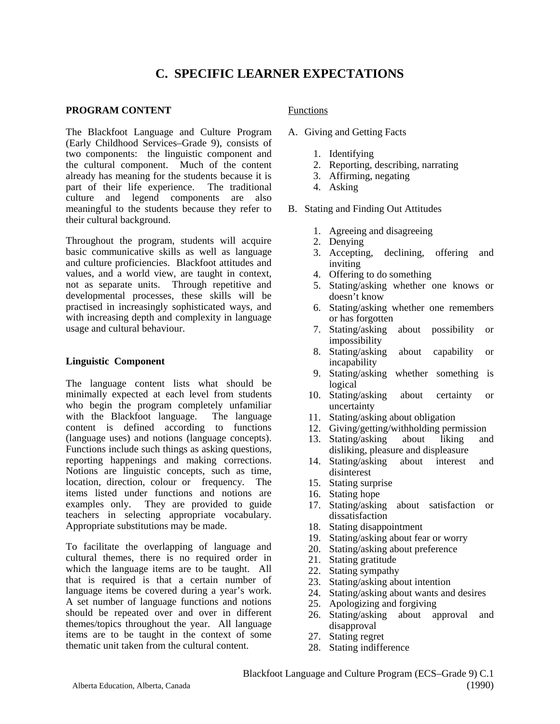# **C. SPECIFIC LEARNER EXPECTATIONS**

## **PROGRAM CONTENT**

The Blackfoot Language and Culture Program (Early Childhood Services–Grade 9), consists of two components: the linguistic component and the cultural component. Much of the content already has meaning for the students because it is part of their life experience. The traditional culture and legend components are also meaningful to the students because they refer to their cultural background.

Throughout the program, students will acquire basic communicative skills as well as language and culture proficiencies. Blackfoot attitudes and values, and a world view, are taught in context, not as separate units. Through repetitive and developmental processes, these skills will be practised in increasingly sophisticated ways, and with increasing depth and complexity in language usage and cultural behaviour.

## **Linguistic Component**

The language content lists what should be minimally expected at each level from students who begin the program completely unfamiliar with the Blackfoot language. The language content is defined according to functions (language uses) and notions (language concepts). Functions include such things as asking questions, reporting happenings and making corrections. Notions are linguistic concepts, such as time, location, direction, colour or frequency. The items listed under functions and notions are examples only. They are provided to guide They are provided to guide teachers in selecting appropriate vocabulary. Appropriate substitutions may be made.

To facilitate the overlapping of language and cultural themes, there is no required order in which the language items are to be taught. All that is required is that a certain number of language items be covered during a year's work. A set number of language functions and notions should be repeated over and over in different themes/topics throughout the year. All language items are to be taught in the context of some thematic unit taken from the cultural content.

## Functions

- A. Giving and Getting Facts
	- 1. Identifying
	- 2. Reporting, describing, narrating
	- 3. Affirming, negating
	- 4. Asking
- B. Stating and Finding Out Attitudes
	- 1. Agreeing and disagreeing
	- 2. Denying
	- 3. Accepting, declining, offering and inviting
	- 4. Offering to do something
	- 5. Stating/asking whether one knows or doesn't know
	- 6. Stating/asking whether one remembers or has forgotten
	- 7. Stating/asking about possibility or impossibility
	- 8. Stating/asking about capability or incapability
	- 9. Stating/asking whether something is logical
	- 10. Stating/asking about certainty or uncertainty
	- 11. Stating/asking about obligation
	- 12. Giving/getting/withholding permission
	- 13. Stating/asking about liking and disliking, pleasure and displeasure
	- 14. Stating/asking about interest and disinterest
	- 15. Stating surprise
	- 16. Stating hope
	- 17. Stating/asking about satisfaction or dissatisfaction
	- 18. Stating disappointment
	- 19. Stating/asking about fear or worry
	- 20. Stating/asking about preference
	- 21. Stating gratitude
	- 22. Stating sympathy
	- 23. Stating/asking about intention
	- 24. Stating/asking about wants and desires
	- 25. Apologizing and forgiving
	- 26. Stating/asking about approval and disapproval
	- 27. Stating regret
	- 28. Stating indifference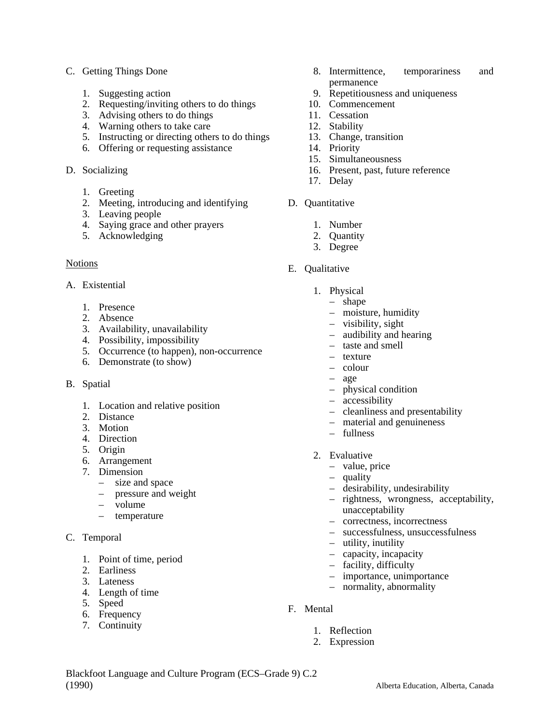## C. Getting Things Done

- 1. Suggesting action
- 2. Requesting/inviting others to do things
- 3. Advising others to do things
- 4. Warning others to take care
- 5. Instructing or directing others to do things
- 6. Offering or requesting assistance
- D. Socializing
	- 1. Greeting
	- 2. Meeting, introducing and identifying
	- 3. Leaving people
	- 4. Saying grace and other prayers
	- 5. Acknowledging

## Notions

- A. Existential
	- 1. Presence
	- 2. Absence
	- 3. Availability, unavailability
	- 4. Possibility, impossibility
	- 5. Occurrence (to happen), non-occurrence
	- 6. Demonstrate (to show)
- B. Spatial
	- 1. Location and relative position
	- 2. Distance
	- 3. Motion
	- 4. Direction
	- 5. Origin
	- 6. Arrangement
	- 7. Dimension
		- size and space
		- pressure and weight
		- volume
		- temperature
- C. Temporal
	- 1. Point of time, period
	- 2. Earliness
	- 3. Lateness
	- 4. Length of time
	- 5. Speed
	- 6. Frequency
	- 7. Continuity
- 8. Intermittence, temporariness and permanence
- 9. Repetitiousness and uniqueness
- 10. Commencement
- 11. Cessation
- 12. Stability
- 13. Change, transition
- 14. Priority
- 15. Simultaneousness
- 16. Present, past, future reference
- 17. Delay
- D. Quantitative
	- 1. Number
	- 2. Quantity
	- 3. Degree
- E. Qualitative
	- 1. Physical
		- shape
		- moisture, humidity
		- visibility, sight
		- audibility and hearing
		- taste and smell
		- texture
		- colour
		- age
		- physical condition
		- accessibility
		- cleanliness and presentability
		- material and genuineness
		- fullness
	- 2. Evaluative
		- value, price
		- quality
		- desirability, undesirability
		- rightness, wrongness, acceptability, unacceptability
		- correctness, incorrectness
		- successfulness, unsuccessfulness
		- utility, inutility
		- capacity, incapacity
		- facility, difficulty
		- importance, unimportance
		- normality, abnormality
- F. Mental
	- 1. Reflection
	- 2. Expression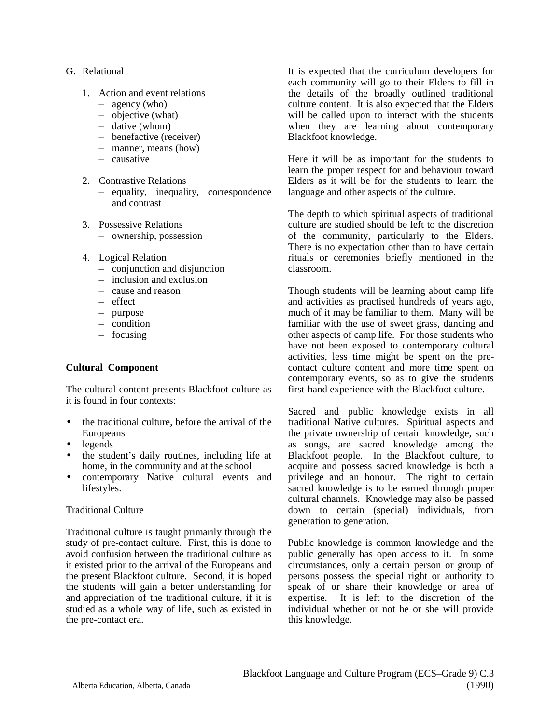## G. Relational

- 1. Action and event relations
	- agency (who)
	- objective (what)
	- dative (whom)
	- benefactive (receiver)
	- manner, means (how)
	- causative
- 2. Contrastive Relations
	- equality, inequality, correspondence and contrast
- 3. Possessive Relations – ownership, possession
- 4. Logical Relation
	- conjunction and disjunction
	- inclusion and exclusion
	- cause and reason
	- effect
	- purpose
	- condition
	- focusing

## **Cultural Component**

The cultural content presents Blackfoot culture as it is found in four contexts:

- the traditional culture, before the arrival of the Europeans
- legends
- the student's daily routines, including life at home, in the community and at the school
- contemporary Native cultural events and lifestyles.

## Traditional Culture

Traditional culture is taught primarily through the study of pre-contact culture. First, this is done to avoid confusion between the traditional culture as it existed prior to the arrival of the Europeans and the present Blackfoot culture. Second, it is hoped the students will gain a better understanding for and appreciation of the traditional culture, if it is studied as a whole way of life, such as existed in the pre-contact era.

It is expected that the curriculum developers for each community will go to their Elders to fill in the details of the broadly outlined traditional culture content. It is also expected that the Elders will be called upon to interact with the students when they are learning about contemporary Blackfoot knowledge.

Here it will be as important for the students to learn the proper respect for and behaviour toward Elders as it will be for the students to learn the language and other aspects of the culture.

The depth to which spiritual aspects of traditional culture are studied should be left to the discretion of the community, particularly to the Elders. There is no expectation other than to have certain rituals or ceremonies briefly mentioned in the classroom.

Though students will be learning about camp life and activities as practised hundreds of years ago, much of it may be familiar to them. Many will be familiar with the use of sweet grass, dancing and other aspects of camp life. For those students who have not been exposed to contemporary cultural activities, less time might be spent on the precontact culture content and more time spent on contemporary events, so as to give the students first-hand experience with the Blackfoot culture.

Sacred and public knowledge exists in all traditional Native cultures. Spiritual aspects and the private ownership of certain knowledge, such as songs, are sacred knowledge among the Blackfoot people. In the Blackfoot culture, to acquire and possess sacred knowledge is both a privilege and an honour. The right to certain sacred knowledge is to be earned through proper cultural channels. Knowledge may also be passed down to certain (special) individuals, from generation to generation.

Public knowledge is common knowledge and the public generally has open access to it. In some circumstances, only a certain person or group of persons possess the special right or authority to speak of or share their knowledge or area of expertise. It is left to the discretion of the individual whether or not he or she will provide this knowledge.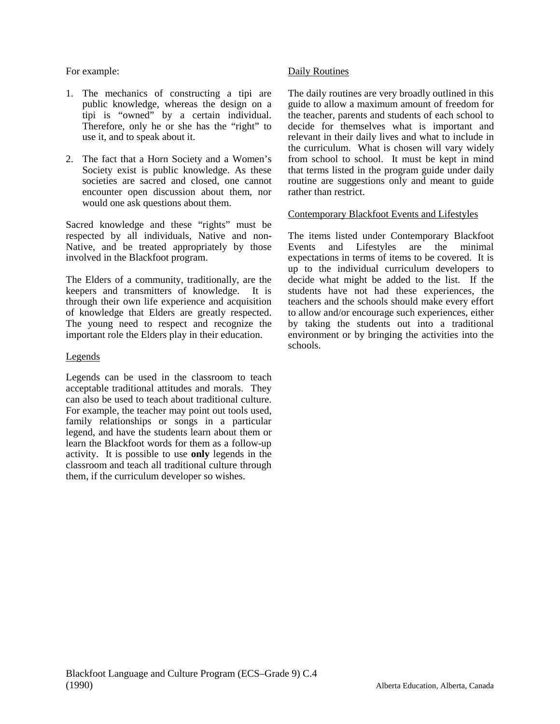## For example:

- 1. The mechanics of constructing a tipi are public knowledge, whereas the design on a tipi is "owned" by a certain individual. Therefore, only he or she has the "right" to use it, and to speak about it.
- 2. The fact that a Horn Society and a Women's Society exist is public knowledge. As these societies are sacred and closed, one cannot encounter open discussion about them, nor would one ask questions about them.

Sacred knowledge and these "rights" must be respected by all individuals, Native and non-Native, and be treated appropriately by those involved in the Blackfoot program.

The Elders of a community, traditionally, are the keepers and transmitters of knowledge. It is through their own life experience and acquisition of knowledge that Elders are greatly respected. The young need to respect and recognize the important role the Elders play in their education.

## Legends

Legends can be used in the classroom to teach acceptable traditional attitudes and morals. They can also be used to teach about traditional culture. For example, the teacher may point out tools used, family relationships or songs in a particular legend, and have the students learn about them or learn the Blackfoot words for them as a follow-up activity. It is possible to use **only** legends in the classroom and teach all traditional culture through them, if the curriculum developer so wishes.

## Daily Routines

The daily routines are very broadly outlined in this guide to allow a maximum amount of freedom for the teacher, parents and students of each school to decide for themselves what is important and relevant in their daily lives and what to include in the curriculum. What is chosen will vary widely from school to school. It must be kept in mind that terms listed in the program guide under daily routine are suggestions only and meant to guide rather than restrict.

## Contemporary Blackfoot Events and Lifestyles

The items listed under Contemporary Blackfoot Events and Lifestyles are the minimal expectations in terms of items to be covered. It is up to the individual curriculum developers to decide what might be added to the list. If the students have not had these experiences, the teachers and the schools should make every effort to allow and/or encourage such experiences, either by taking the students out into a traditional environment or by bringing the activities into the schools.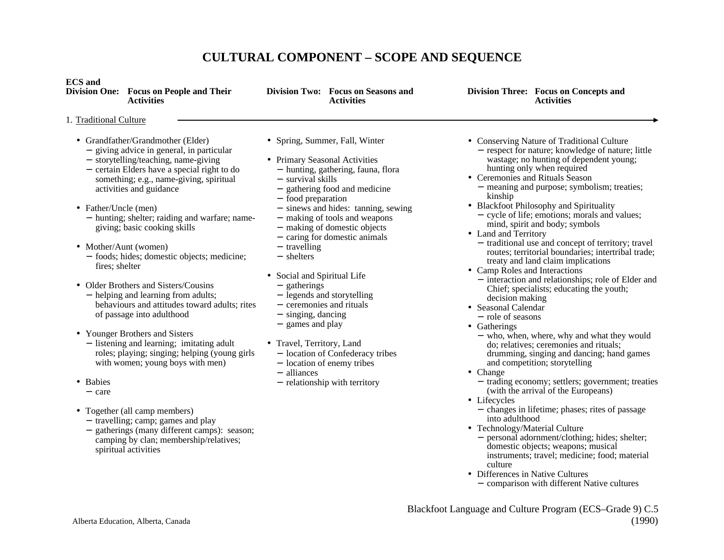# **CULTURAL COMPONENT – SCOPE AND SEQUENCE**

| <b>ECS</b> and<br>Division One: Focus on People and Their<br><b>Activities</b>                                                                                                                                                                                                                                                                                                 | Division Two: Focus on Seasons and<br><b>Activities</b>                                                                                                                                                                                                                                                                                    | Division Three: Focus on Concepts and<br><b>Activities</b>                                                                                                                                                                                                                                                                                                                                                                                                                                        |
|--------------------------------------------------------------------------------------------------------------------------------------------------------------------------------------------------------------------------------------------------------------------------------------------------------------------------------------------------------------------------------|--------------------------------------------------------------------------------------------------------------------------------------------------------------------------------------------------------------------------------------------------------------------------------------------------------------------------------------------|---------------------------------------------------------------------------------------------------------------------------------------------------------------------------------------------------------------------------------------------------------------------------------------------------------------------------------------------------------------------------------------------------------------------------------------------------------------------------------------------------|
| 1. Traditional Culture                                                                                                                                                                                                                                                                                                                                                         |                                                                                                                                                                                                                                                                                                                                            |                                                                                                                                                                                                                                                                                                                                                                                                                                                                                                   |
| • Grandfather/Grandmother (Elder)<br>- giving advice in general, in particular<br>- storytelling/teaching, name-giving<br>- certain Elders have a special right to do<br>something; e.g., name-giving, spiritual<br>activities and guidance<br>• Father/Uncle (men)<br>- hunting; shelter; raiding and warfare; name-<br>giving; basic cooking skills<br>• Mother/Aunt (women) | • Spring, Summer, Fall, Winter<br>• Primary Seasonal Activities<br>- hunting, gathering, fauna, flora<br>- survival skills<br>- gathering food and medicine<br>- food preparation<br>- sinews and hides: tanning, sewing<br>- making of tools and weapons<br>- making of domestic objects<br>- caring for domestic animals<br>- travelling | • Conserving Nature of Traditional Culture<br>- respect for nature; knowledge of natur<br>wastage; no hunting of dependent you<br>hunting only when required<br>• Ceremonies and Rituals Season<br>- meaning and purpose; symbolism; trea<br>kinship<br>• Blackfoot Philosophy and Spirituality<br>- cycle of life; emotions; morals and val<br>mind, spirit and body; symbols<br>• Land and Territory<br>- traditional use and concept of territory<br>routes; territorial boundaries; intertrib |
| - foods; hides; domestic objects; medicine;<br>fires; shelter                                                                                                                                                                                                                                                                                                                  | - shelters<br>• Social and Spiritual Life                                                                                                                                                                                                                                                                                                  | treaty and land claim implications<br>• Camp Roles and Interactions<br>- interaction and relationships: role of E                                                                                                                                                                                                                                                                                                                                                                                 |

- Older Brothers and Sisters/Cousins <sup>−</sup>helping and learning from adults; behaviours and attitudes toward adults; rites of passage into adulthood
- Younger Brothers and Sisters
	- <sup>−</sup>listening and learning; imitating adult roles; playing; singing; helping (young girls with women; young boys with men)
- Babies
	- − care
- Together (all camp members)
	- <sup>−</sup>travelling; camp; games and play
	- <sup>−</sup>gatherings (many different camps): season; camping by clan; membership/relatives; spiritual activities
- <sup>−</sup>gatherings
- <sup>−</sup>legends and storytelling
- − ceremonies and rituals
- <sup>−</sup>singing, dancing
- <sup>−</sup>games and play
- Travel, Territory, Land
	- <sup>−</sup>location of Confederacy tribes
	- <sup>−</sup>location of enemy tribes
	- − alliances
	- <sup>−</sup>relationship with territory
- litional Culture ledge of nature; little lependent young; ired
- ason mbolism; treaties;
- **Spirituality** 
	- morals and values; vmbols.
- ept of territory; travel aries; intertribal trade; inlications
- Camp Roles and Interactions
	- hips; role of Elder and Chief; specialists; educating the youth; decision making
- Seasonal Calendar
	- − role of seasons
- Gatherings
	- <sup>−</sup>who, when, where, why and what they would do; relatives; ceremonies and rituals; drumming, singing and dancing; hand games and competition; storytelling
- Change
	- <sup>−</sup>trading economy; settlers; government; treaties (with the arrival of the Europeans)
- Lifecycles
	- <sup>−</sup>changes in lifetime; phases; rites of passage into adulthood
- Technology/Material Culture
	- <sup>−</sup>personal adornment/clothing; hides; shelter; domestic objects; weapons; musical instruments; travel; medicine; food; material culture
- Differences in Native Cultures − comparison with different Native cultures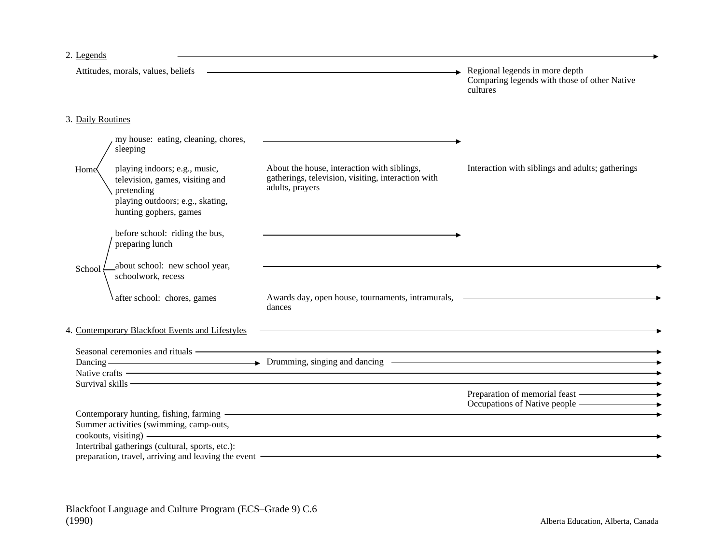## 2. Legends

| 2. Legends                                                                                                                                                                                                                          |                                                                                                                                                                                                                                                                                                                                                                                 |                                                                                                          |
|-------------------------------------------------------------------------------------------------------------------------------------------------------------------------------------------------------------------------------------|---------------------------------------------------------------------------------------------------------------------------------------------------------------------------------------------------------------------------------------------------------------------------------------------------------------------------------------------------------------------------------|----------------------------------------------------------------------------------------------------------|
| Attitudes, morals, values, beliefs                                                                                                                                                                                                  | <u> 1989 - Andrea Stadt Britain, amerikansk politik (</u>                                                                                                                                                                                                                                                                                                                       | $\rightarrow$ Regional legends in more depth<br>Comparing legends with those of other Native<br>cultures |
| 3. Daily Routines                                                                                                                                                                                                                   |                                                                                                                                                                                                                                                                                                                                                                                 |                                                                                                          |
| my house: eating, cleaning, chores,<br>sleeping                                                                                                                                                                                     |                                                                                                                                                                                                                                                                                                                                                                                 |                                                                                                          |
| playing indoors; e.g., music,<br>Home<br>television, games, visiting and<br>pretending<br>playing outdoors; e.g., skating,<br>hunting gophers, games                                                                                | About the house, interaction with siblings,<br>gatherings, television, visiting, interaction with<br>adults, prayers                                                                                                                                                                                                                                                            | Interaction with siblings and adults; gatherings                                                         |
| before school: riding the bus,<br>preparing lunch                                                                                                                                                                                   |                                                                                                                                                                                                                                                                                                                                                                                 |                                                                                                          |
| about school: new school year,<br>School<br>schoolwork, recess                                                                                                                                                                      |                                                                                                                                                                                                                                                                                                                                                                                 |                                                                                                          |
| after school: chores, games                                                                                                                                                                                                         | Awards day, open house, tournaments, intramurals,<br>dances                                                                                                                                                                                                                                                                                                                     |                                                                                                          |
| 4. Contemporary Blackfoot Events and Lifestyles                                                                                                                                                                                     | <u> 1989 - Johann Stoff, amerikansk politiker (* 1908)</u>                                                                                                                                                                                                                                                                                                                      |                                                                                                          |
|                                                                                                                                                                                                                                     | Seasonal ceremonies and rituals entertainment and the seasonal ceremonic and rituals<br>$\frac{1}{2}$ Native crafts $\frac{1}{2}$ and $\frac{1}{2}$ and $\frac{1}{2}$ and $\frac{1}{2}$ and $\frac{1}{2}$ and $\frac{1}{2}$ and $\frac{1}{2}$ and $\frac{1}{2}$ and $\frac{1}{2}$ and $\frac{1}{2}$ and $\frac{1}{2}$ and $\frac{1}{2}$ and $\frac{1}{2}$ and $\frac{1}{2}$ and |                                                                                                          |
|                                                                                                                                                                                                                                     | Survival skills <b>Contained a Second Contained a Second Contained a Second Contained A</b>                                                                                                                                                                                                                                                                                     | Preparation of memorial feast — — — <del>•</del><br>Occupations of Native people ————————                |
| Contemporary hunting, fishing, farming <b>example 2018</b> and 2019 and 2019 and 2019 and 2019 and 2019 and 2019 and 2019 and 2019 and 2019 and 2019 and 2019 and 2019 and 2019 and 2019 and 2019 and 2019 and 2019 and 2019 and 20 |                                                                                                                                                                                                                                                                                                                                                                                 |                                                                                                          |
| Summer activities (swimming, camp-outs,                                                                                                                                                                                             | cookouts, visiting) –                                                                                                                                                                                                                                                                                                                                                           |                                                                                                          |
| Intertribal gatherings (cultural, sports, etc.):                                                                                                                                                                                    |                                                                                                                                                                                                                                                                                                                                                                                 |                                                                                                          |
|                                                                                                                                                                                                                                     | preparation, travel, arriving and leaving the event - The context of the context of the context of the context of the context of the context of the context of the context of the context of the context of the context of the                                                                                                                                                  |                                                                                                          |